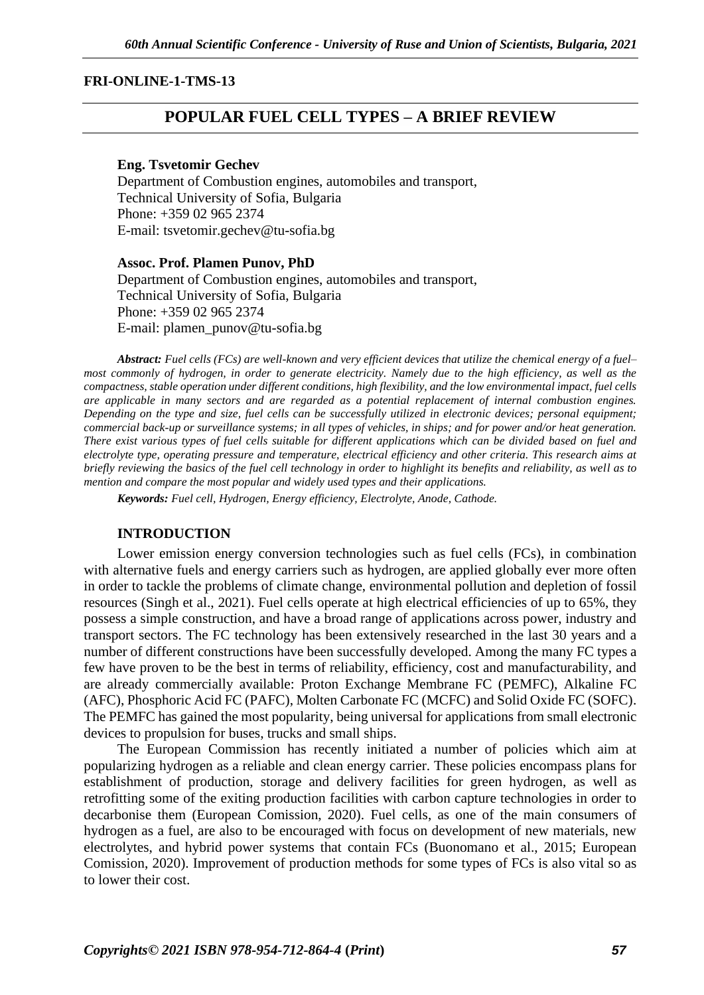#### **FRI-ONLINE-1-TMS-13**

# **POPULAR FUEL CELL TYPES – A BRIEF REVIEW**

#### **Eng. Tsvetomir Gechev**

Department of Combustion engines, automobiles and transport, Technical University of Sofia, Bulgaria Phone: +359 02 965 2374 Е-mail: tsvetomir.gechev@tu-sofia.bg

#### **Assoc. Prof. Plamen Punov, PhD**

Department of Combustion engines, automobiles and transport, Technical University of Sofia, Bulgaria Phone: +359 02 965 2374 Е-mail: plamen\_punov@tu-sofia.bg

*Abstract: Fuel cells (FCs) are well-known and very efficient devices that utilize the chemical energy of a fuel– most commonly of hydrogen, in order to generate electricity. Namely due to the high efficiency, as well as the compactness, stable operation under different conditions, high flexibility, and the low environmental impact, fuel cells are applicable in many sectors and are regarded as a potential replacement of internal combustion engines. Depending on the type and size, fuel cells can be successfully utilized in electronic devices; personal equipment; commercial back-up or surveillance systems; in all types of vehicles, in ships; and for power and/or heat generation. There exist various types of fuel cells suitable for different applications which can be divided based on fuel and electrolyte type, operating pressure and temperature, electrical efficiency and other criteria. This research aims at briefly reviewing the basics of the fuel cell technology in order to highlight its benefits and reliability, as well as to mention and compare the most popular and widely used types and their applications.*

*Keywords: Fuel cell, Hydrogen, Energy efficiency, Electrolyte, Anode, Cathode.*

#### **INTRODUCTION**

Lower emission energy conversion technologies such as fuel cells (FCs), in combination with alternative fuels and energy carriers such as hydrogen, are applied globally ever more often in order to tackle the problems of climate change, environmental pollution and depletion of fossil resources (Singh et al., 2021). Fuel cells operate at high electrical efficiencies of up to 65%, they possess a simple construction, and have a broad range of applications across power, industry and transport sectors. The FC technology has been extensively researched in the last 30 years and a number of different constructions have been successfully developed. Among the many FC types a few have proven to be the best in terms of reliability, efficiency, cost and manufacturability, and are already commercially available: Proton Exchange Membrane FC (PEMFC), Alkaline FC (AFC), Phosphoric Acid FC (PAFC), Molten Carbonate FC (MCFC) and Solid Oxide FC (SOFC). The PEMFC has gained the most popularity, being universal for applications from small electronic devices to propulsion for buses, trucks and small ships.

The European Commission has recently initiated a number of policies which aim at popularizing hydrogen as a reliable and clean energy carrier. These policies encompass plans for establishment of production, storage and delivery facilities for green hydrogen, as well as retrofitting some of the exiting production facilities with carbon capture technologies in order to decarbonise them (European Comission, 2020). Fuel cells, as one of the main consumers of hydrogen as a fuel, are also to be encouraged with focus on development of new materials, new electrolytes, and hybrid power systems that contain FCs (Buonomano et al., 2015; European Comission, 2020). Improvement of production methods for some types of FCs is also vital so as to lower their cost.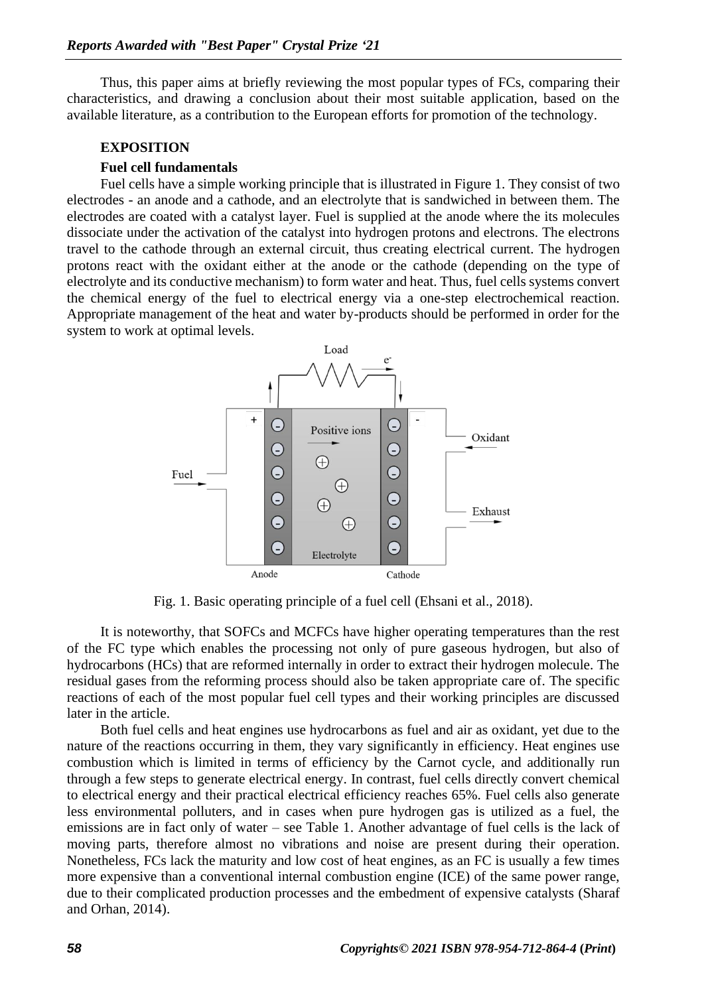Thus, this paper aims at briefly reviewing the most popular types of FCs, comparing their characteristics, and drawing a conclusion about their most suitable application, based on the available literature, as a contribution to the European efforts for promotion of the technology.

### **EXPOSITION**

### **Fuel cell fundamentals**

Fuel cells have a simple working principle that is illustrated in Figure 1. They consist of two electrodes - an anode and a cathode, and an electrolyte that is sandwiched in between them. The electrodes are coated with a catalyst layer. Fuel is supplied at the anode where the its molecules dissociate under the activation of the catalyst into hydrogen protons and electrons. The electrons travel to the cathode through an external circuit, thus creating electrical current. The hydrogen protons react with the oxidant either at the anode or the cathode (depending on the type of electrolyte and its conductive mechanism) to form water and heat. Thus, fuel cells systems convert the chemical energy of the fuel to electrical energy via a one-step electrochemical reaction. Appropriate management of the heat and water by-products should be performed in order for the system to work at optimal levels.



Fig. 1. Basic operating principle of a fuel cell (Ehsani et al., 2018).

It is noteworthy, that SOFCs and MCFCs have higher operating temperatures than the rest of the FC type which enables the processing not only of pure gaseous hydrogen, but also of hydrocarbons (HCs) that are reformed internally in order to extract their hydrogen molecule. The residual gases from the reforming process should also be taken appropriate care of. The specific reactions of each of the most popular fuel cell types and their working principles are discussed later in the article.

Both fuel cells and heat engines use hydrocarbons as fuel and air as oxidant, yet due to the nature of the reactions occurring in them, they vary significantly in efficiency. Heat engines use combustion which is limited in terms of efficiency by the Carnot cycle, and additionally run through a few steps to generate electrical energy. In contrast, fuel cells directly convert chemical to electrical energy and their practical electrical efficiency reaches 65%. Fuel cells also generate less environmental polluters, and in cases when pure hydrogen gas is utilized as a fuel, the emissions are in fact only of water – see Table 1. Another advantage of fuel cells is the lack of moving parts, therefore almost no vibrations and noise are present during their operation. Nonetheless, FCs lack the maturity and low cost of heat engines, as an FC is usually a few times more expensive than a conventional internal combustion engine (ICE) of the same power range, due to their complicated production processes and the embedment of expensive catalysts (Sharaf and Orhan, 2014).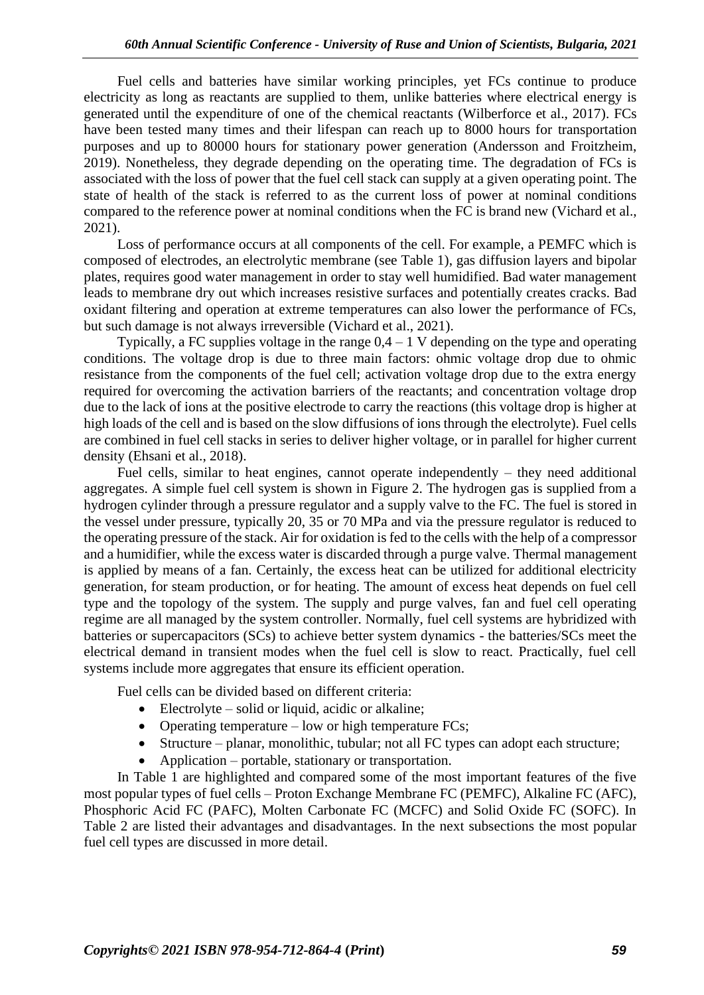Fuel cells and batteries have similar working principles, yet FCs continue to produce electricity as long as reactants are supplied to them, unlike batteries where electrical energy is generated until the expenditure of one of the chemical reactants (Wilberforce et al., 2017). FCs have been tested many times and their lifespan can reach up to 8000 hours for transportation purposes and up to 80000 hours for stationary power generation (Andersson and Froitzheim, 2019). Nonetheless, they degrade depending on the operating time. The degradation of FCs is associated with the loss of power that the fuel cell stack can supply at a given operating point. The state of health of the stack is referred to as the current loss of power at nominal conditions compared to the reference power at nominal conditions when the FC is brand new (Vichard et al., 2021).

Loss of performance occurs at all components of the cell. For example, a PEMFC which is composed of electrodes, an electrolytic membrane (see Table 1), gas diffusion layers and bipolar plates, requires good water management in order to stay well humidified. Bad water management leads to membrane dry out which increases resistive surfaces and potentially creates cracks. Bad oxidant filtering and operation at extreme temperatures can also lower the performance of FCs, but such damage is not always irreversible (Vichard et al., 2021).

Typically, a FC supplies voltage in the range  $0.4 - 1$  V depending on the type and operating conditions. The voltage drop is due to three main factors: ohmic voltage drop due to ohmic resistance from the components of the fuel cell; activation voltage drop due to the extra energy required for overcoming the activation barriers of the reactants; and concentration voltage drop due to the lack of ions at the positive electrode to carry the reactions (this voltage drop is higher at high loads of the cell and is based on the slow diffusions of ions through the electrolyte). Fuel cells are combined in fuel cell stacks in series to deliver higher voltage, or in parallel for higher current density (Ehsani et al., 2018).

Fuel cells, similar to heat engines, cannot operate independently  $-$  they need additional aggregates. A simple fuel cell system is shown in Figure 2. The hydrogen gas is supplied from a hydrogen cylinder through a pressure regulator and a supply valve to the FC. The fuel is stored in the vessel under pressure, typically 20, 35 or 70 MPa and via the pressure regulator is reduced to the operating pressure of the stack. Air for oxidation is fed to the cells with the help of a compressor and a humidifier, while the excess water is discarded through a purge valve. Thermal management is applied by means of a fan. Certainly, the excess heat can be utilized for additional electricity generation, for steam production, or for heating. The amount of excess heat depends on fuel cell type and the topology of the system. The supply and purge valves, fan and fuel cell operating regime are all managed by the system controller. Normally, fuel cell systems are hybridized with batteries or supercapacitors (SCs) to achieve better system dynamics - the batteries/SCs meet the electrical demand in transient modes when the fuel cell is slow to react. Practically, fuel cell systems include more aggregates that ensure its efficient operation.

Fuel cells can be divided based on different criteria:

- Electrolyte solid or liquid, acidic or alkaline;
- Operating temperature low or high temperature FCs;
- Structure planar, monolithic, tubular; not all FC types can adopt each structure;
- Application portable, stationary or transportation.

In Table 1 are highlighted and compared some of the most important features of the five most popular types of fuel cells – Proton Exchange Membrane FC (PEMFC), Alkaline FC (AFC), Phosphoric Acid FC (PAFC), Molten Carbonate FC (MCFC) and Solid Oxide FC (SOFC). In Table 2 are listed their advantages and disadvantages. In the next subsections the most popular fuel cell types are discussed in more detail.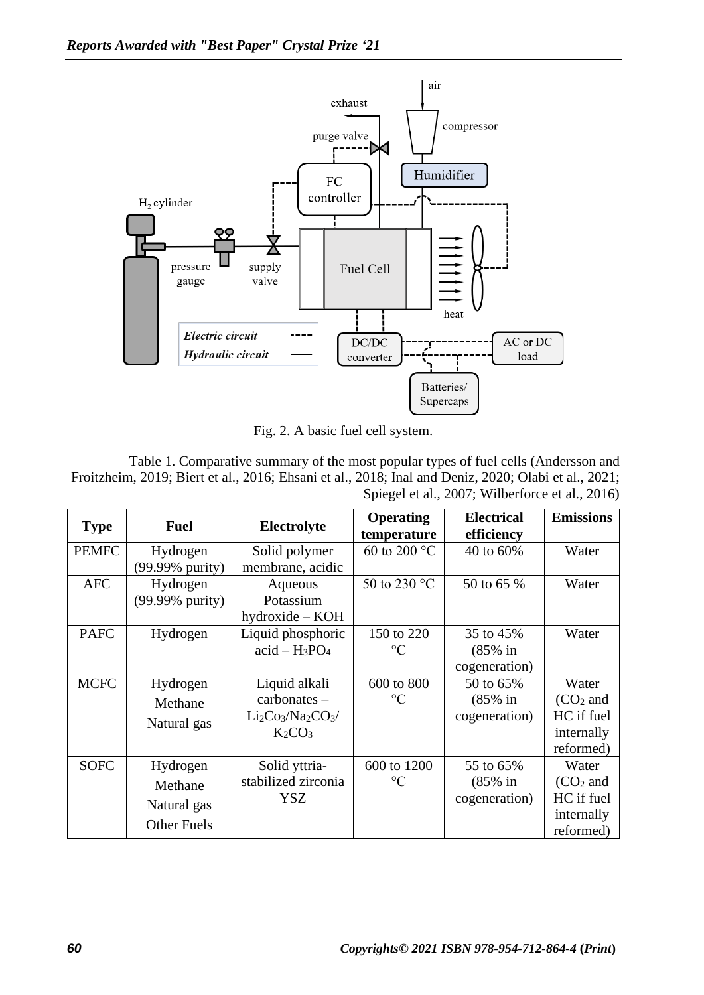

Fig. 2. A basic fuel cell system.

Table 1. Comparative summary of the most popular types of fuel cells (Andersson and Froitzheim, 2019; Biert et al., 2016; Ehsani et al., 2018; Inal and Deniz, 2020; Olabi et al., 2021; Spiegel et al., 2007; Wilberforce et al., 2016)

| <b>Type</b>  | <b>Fuel</b>        | Electrolyte                    | <b>Operating</b><br>temperature | <b>Electrical</b><br>efficiency | <b>Emissions</b> |
|--------------|--------------------|--------------------------------|---------------------------------|---------------------------------|------------------|
| <b>PEMFC</b> | Hydrogen           | Solid polymer                  | 60 to 200 $^{\circ}$ C          | 40 to 60%                       | Water            |
|              | (99.99% purity)    | membrane, acidic               |                                 |                                 |                  |
| <b>AFC</b>   | Hydrogen           | Aqueous                        | 50 to 230 °C                    | 50 to 65 %                      | Water            |
|              | (99.99% purity)    | Potassium                      |                                 |                                 |                  |
|              |                    | $hydroxide - KOH$              |                                 |                                 |                  |
| <b>PAFC</b>  | Hydrogen           | Liquid phosphoric              | 150 to 220                      | 35 to 45%                       | Water            |
|              |                    | $acid - H_3PO_4$               | $\rm ^{\circ}C$                 | $(85\%$ in                      |                  |
|              |                    |                                |                                 | cogeneration)                   |                  |
| <b>MCFC</b>  | Hydrogen           | Liquid alkali                  | 600 to 800                      | 50 to 65%                       | Water            |
|              | Methane            | $carbonates -$                 | $\rm ^{\circ}C$                 | $(85\%$ in                      | $(CO2$ and       |
|              | Natural gas        | $Li2Co3/Na2CO3/$               |                                 | cogeneration)                   | HC if fuel       |
|              |                    | K <sub>2</sub> CO <sub>3</sub> |                                 |                                 | internally       |
|              |                    |                                |                                 |                                 | reformed)        |
| <b>SOFC</b>  | Hydrogen           | Solid yttria-                  | 600 to 1200                     | 55 to 65%                       | Water            |
|              | Methane            | stabilized zirconia            | $\rm ^{\circ}C$                 | $(85\%$ in                      | $(CO2$ and       |
|              | Natural gas        | YSZ                            |                                 | cogeneration)                   | HC if fuel       |
|              |                    |                                |                                 |                                 | internally       |
|              | <b>Other Fuels</b> |                                |                                 |                                 | reformed)        |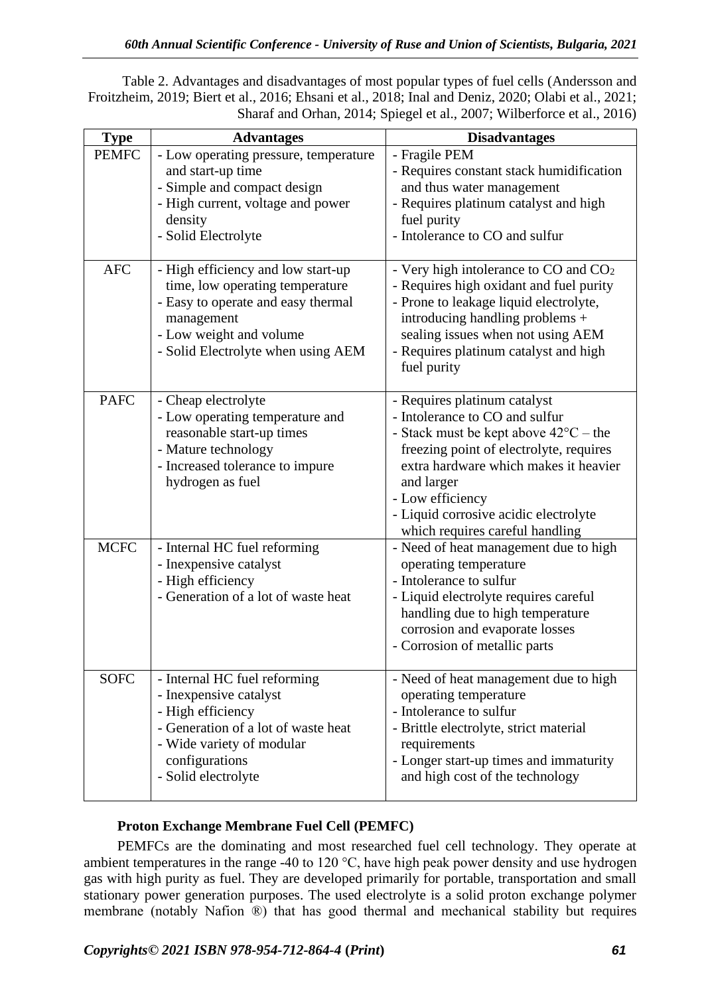Table 2. Advantages and disadvantages of most popular types of fuel cells (Andersson and Froitzheim, 2019; Biert et al., 2016; Ehsani et al., 2018; Inal and Deniz, 2020; Olabi et al., 2021; Sharaf and Orhan, 2014; Spiegel et al., 2007; Wilberforce et al., 2016)

| <b>Type</b>  | <b>Advantages</b>                                                                                                                                                                          | <b>Disadvantages</b>                                                                                                                                                                                                                                                                                               |
|--------------|--------------------------------------------------------------------------------------------------------------------------------------------------------------------------------------------|--------------------------------------------------------------------------------------------------------------------------------------------------------------------------------------------------------------------------------------------------------------------------------------------------------------------|
| <b>PEMFC</b> | - Low operating pressure, temperature<br>and start-up time<br>- Simple and compact design<br>- High current, voltage and power<br>density<br>- Solid Electrolyte                           | - Fragile PEM<br>- Requires constant stack humidification<br>and thus water management<br>- Requires platinum catalyst and high<br>fuel purity<br>- Intolerance to CO and sulfur                                                                                                                                   |
| <b>AFC</b>   | - High efficiency and low start-up<br>time, low operating temperature<br>- Easy to operate and easy thermal<br>management<br>- Low weight and volume<br>- Solid Electrolyte when using AEM | - Very high intolerance to $CO$ and $CO2$<br>- Requires high oxidant and fuel purity<br>- Prone to leakage liquid electrolyte,<br>introducing handling problems +<br>sealing issues when not using AEM<br>- Requires platinum catalyst and high<br>fuel purity                                                     |
| <b>PAFC</b>  | - Cheap electrolyte<br>- Low operating temperature and<br>reasonable start-up times<br>- Mature technology<br>- Increased tolerance to impure<br>hydrogen as fuel                          | - Requires platinum catalyst<br>- Intolerance to CO and sulfur<br>- Stack must be kept above $42^{\circ}C$ – the<br>freezing point of electrolyte, requires<br>extra hardware which makes it heavier<br>and larger<br>- Low efficiency<br>- Liquid corrosive acidic electrolyte<br>which requires careful handling |
| <b>MCFC</b>  | - Internal HC fuel reforming<br>- Inexpensive catalyst<br>- High efficiency<br>- Generation of a lot of waste heat                                                                         | - Need of heat management due to high<br>operating temperature<br>- Intolerance to sulfur<br>- Liquid electrolyte requires careful<br>handling due to high temperature<br>corrosion and evaporate losses<br>- Corrosion of metallic parts                                                                          |
| <b>SOFC</b>  | - Internal HC fuel reforming<br>- Inexpensive catalyst<br>- High efficiency<br>- Generation of a lot of waste heat<br>- Wide variety of modular<br>configurations<br>- Solid electrolyte   | - Need of heat management due to high<br>operating temperature<br>- Intolerance to sulfur<br>- Brittle electrolyte, strict material<br>requirements<br>- Longer start-up times and immaturity<br>and high cost of the technology                                                                                   |

# **Proton Exchange Membrane Fuel Cell (PEMFC)**

PEMFCs are the dominating and most researched fuel cell technology. They operate at ambient temperatures in the range -40 to 120 °C, have high peak power density and use hydrogen gas with high purity as fuel. They are developed primarily for portable, transportation and small stationary power generation purposes. The used electrolyte is a solid proton exchange polymer membrane (notably Nafion ®) that has good thermal and mechanical stability but requires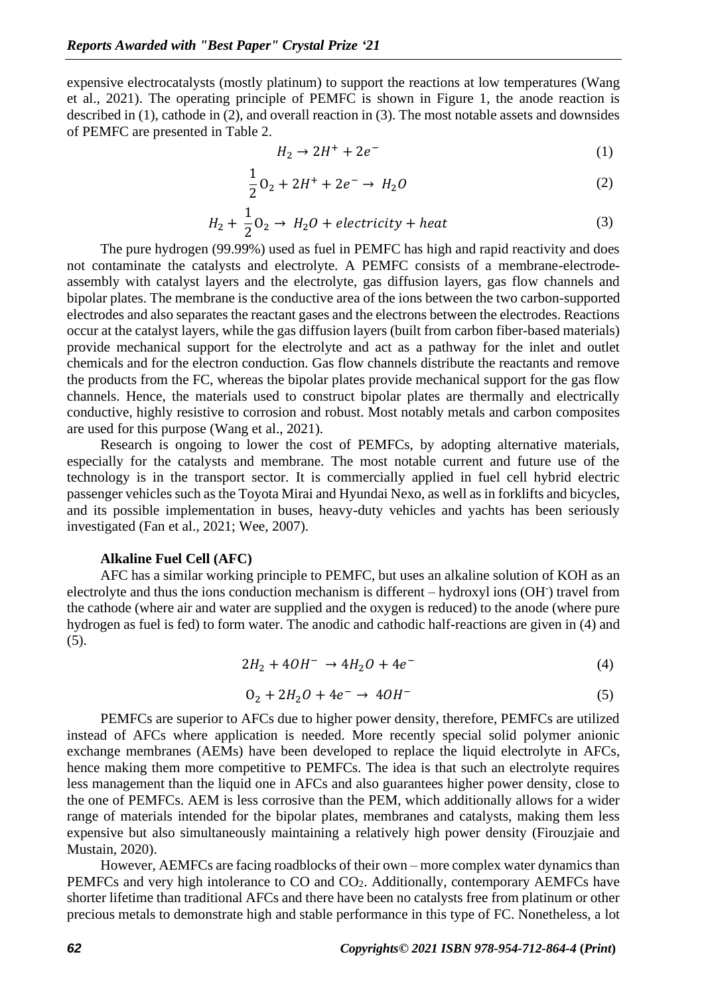expensive electrocatalysts (mostly platinum) to support the reactions at low temperatures (Wang et al., 2021). The operating principle of PEMFC is shown in Figure 1, the anode reaction is described in (1), cathode in (2), and overall reaction in (3). The most notable assets and downsides of PEMFC are presented in Table 2.

$$
H_2 \to 2H^+ + 2e^- \tag{1}
$$

$$
\frac{1}{2}O_2 + 2H^+ + 2e^- \to H_2O
$$
 (2)

$$
H_2 + \frac{1}{2}O_2 \to H_2O + electricity + heat
$$
 (3)

The pure hydrogen (99.99%) used as fuel in PEMFC has high and rapid reactivity and does not contaminate the catalysts and electrolyte. A PEMFC consists of a membrane-electrodeassembly with catalyst layers and the electrolyte, gas diffusion layers, gas flow channels and bipolar plates. The membrane is the conductive area of the ions between the two carbon-supported electrodes and also separates the reactant gases and the electrons between the electrodes. Reactions occur at the catalyst layers, while the gas diffusion layers (built from carbon fiber-based materials) provide mechanical support for the electrolyte and act as a pathway for the inlet and outlet chemicals and for the electron conduction. Gas flow channels distribute the reactants and remove the products from the FC, whereas the bipolar plates provide mechanical support for the gas flow channels. Hence, the materials used to construct bipolar plates are thermally and electrically conductive, highly resistive to corrosion and robust. Most notably metals and carbon composites are used for this purpose (Wang et al., 2021).

Research is ongoing to lower the cost of PEMFCs, by adopting alternative materials, especially for the catalysts and membrane. The most notable current and future use of the technology is in the transport sector. It is commercially applied in fuel cell hybrid electric passenger vehicles such as the Toyota Mirai and Hyundai Nexo, as well as in forklifts and bicycles, and its possible implementation in buses, heavy-duty vehicles and yachts has been seriously investigated (Fan et al., 2021; Wee, 2007).

#### **Alkaline Fuel Cell (AFC)**

AFC has a similar working principle to PEMFC, but uses an alkaline solution of KOH as an electrolyte and thus the ions conduction mechanism is different – hydroxyl ions (OH<sup>-</sup>) travel from the cathode (where air and water are supplied and the oxygen is reduced) to the anode (where pure hydrogen as fuel is fed) to form water. The anodic and cathodic half-reactions are given in (4) and  $(5)$ .

$$
2H_2 + 4OH^- \to 4H_2O + 4e^-
$$
 (4)

$$
0_2 + 2H_2O + 4e^- \to 4OH^-
$$
 (5)

PEMFCs are superior to AFCs due to higher power density, therefore, PEMFCs are utilized instead of AFCs where application is needed. More recently special solid polymer anionic exchange membranes (AEMs) have been developed to replace the liquid electrolyte in AFCs, hence making them more competitive to PEMFCs. The idea is that such an electrolyte requires less management than the liquid one in AFCs and also guarantees higher power density, close to the one of PEMFCs. AEM is less corrosive than the PEM, which additionally allows for a wider range of materials intended for the bipolar plates, membranes and catalysts, making them less expensive but also simultaneously maintaining a relatively high power density (Firouzjaie and Mustain, 2020).

However, AEMFCs are facing roadblocks of their own – more complex water dynamics than PEMFCs and very high intolerance to CO and CO<sub>2</sub>. Additionally, contemporary AEMFCs have shorter lifetime than traditional AFCs and there have been no catalysts free from platinum or other precious metals to demonstrate high and stable performance in this type of FC. Nonetheless, a lot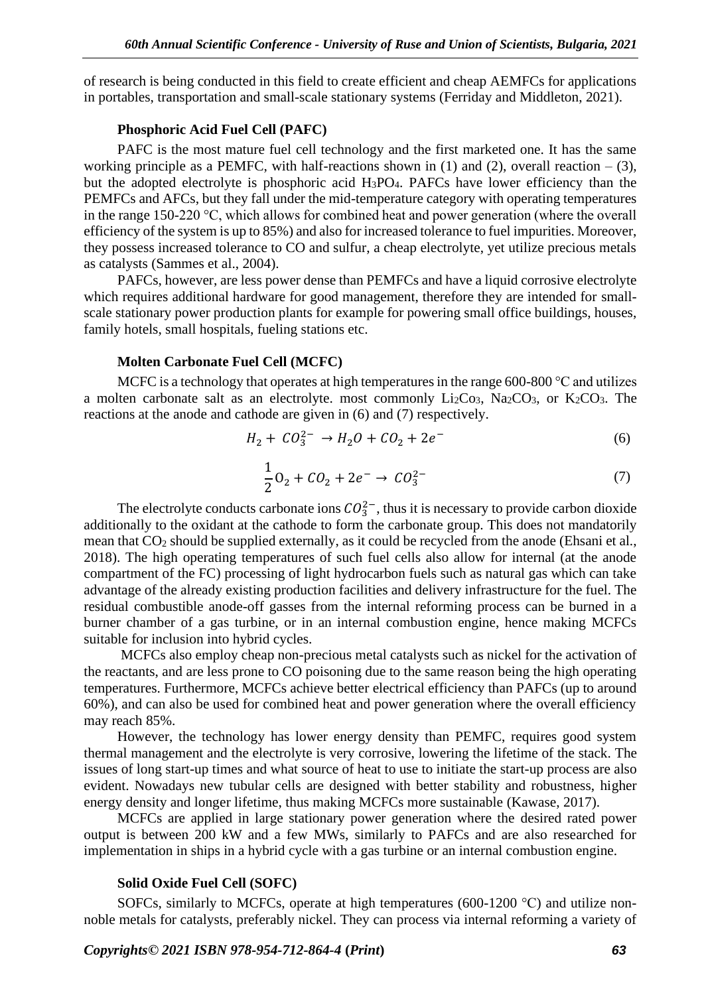of research is being conducted in this field to create efficient and cheap AEMFCs for applications in portables, transportation and small-scale stationary systems (Ferriday and Middleton, 2021).

### **Phosphoric Acid Fuel Cell (PAFC)**

PAFC is the most mature fuel cell technology and the first marketed one. It has the same working principle as a PEMFC, with half-reactions shown in  $(1)$  and  $(2)$ , overall reaction  $- (3)$ , but the adopted electrolyte is phosphoric acid H3PO4. PAFCs have lower efficiency than the PEMFCs and AFCs, but they fall under the mid-temperature category with operating temperatures in the range 150-220 °C, which allows for combined heat and power generation (where the overall efficiency of the system is up to 85%) and also for increased tolerance to fuel impurities. Moreover, they possess increased tolerance to CO and sulfur, a cheap electrolyte, yet utilize precious metals as catalysts (Sammes et al., 2004).

PAFCs, however, are less power dense than PEMFCs and have a liquid corrosive electrolyte which requires additional hardware for good management, therefore they are intended for smallscale stationary power production plants for example for powering small office buildings, houses, family hotels, small hospitals, fueling stations etc.

#### **Molten Carbonate Fuel Cell (MCFC)**

MCFC is a technology that operates at high temperatures in the range 600-800 °C and utilizes a molten carbonate salt as an electrolyte. most commonly  $Li_2Co_3$ ,  $Na_2CO_3$ , or  $K_2CO_3$ . The reactions at the anode and cathode are given in (6) and (7) respectively.

$$
H_2 + CO_3^{2-} \to H_2O + CO_2 + 2e^-
$$
 (6)

$$
\frac{1}{2}O_2 + CO_2 + 2e^- \to CO_3^{2-}
$$
 (7)

The electrolyte conducts carbonate ions  $CO_3^{2-}$ , thus it is necessary to provide carbon dioxide additionally to the oxidant at the cathode to form the carbonate group. This does not mandatorily mean that CO<sub>2</sub> should be supplied externally, as it could be recycled from the anode (Ehsani et al., 2018). The high operating temperatures of such fuel cells also allow for internal (at the anode compartment of the FC) processing of light hydrocarbon fuels such as natural gas which can take advantage of the already existing production facilities and delivery infrastructure for the fuel. The residual combustible anode-off gasses from the internal reforming process can be burned in a burner chamber of a gas turbine, or in an internal combustion engine, hence making MCFCs suitable for inclusion into hybrid cycles.

MCFCs also employ cheap non-precious metal catalysts such as nickel for the activation of the reactants, and are less prone to CO poisoning due to the same reason being the high operating temperatures. Furthermore, MCFCs achieve better electrical efficiency than PAFCs (up to around 60%), and can also be used for combined heat and power generation where the overall efficiency may reach 85%.

However, the technology has lower energy density than PEMFC, requires good system thermal management and the electrolyte is very corrosive, lowering the lifetime of the stack. The issues of long start-up times and what source of heat to use to initiate the start-up process are also evident. Nowadays new tubular cells are designed with better stability and robustness, higher energy density and longer lifetime, thus making MCFCs more sustainable (Kawase, 2017).

MCFCs are applied in large stationary power generation where the desired rated power output is between 200 kW and a few MWs, similarly to PAFCs and are also researched for implementation in ships in a hybrid cycle with a gas turbine or an internal combustion engine.

### **Solid Oxide Fuel Cell (SOFC)**

SOFCs, similarly to MCFCs, operate at high temperatures (600-1200 °C) and utilize nonnoble metals for catalysts, preferably nickel. They can process via internal reforming a variety of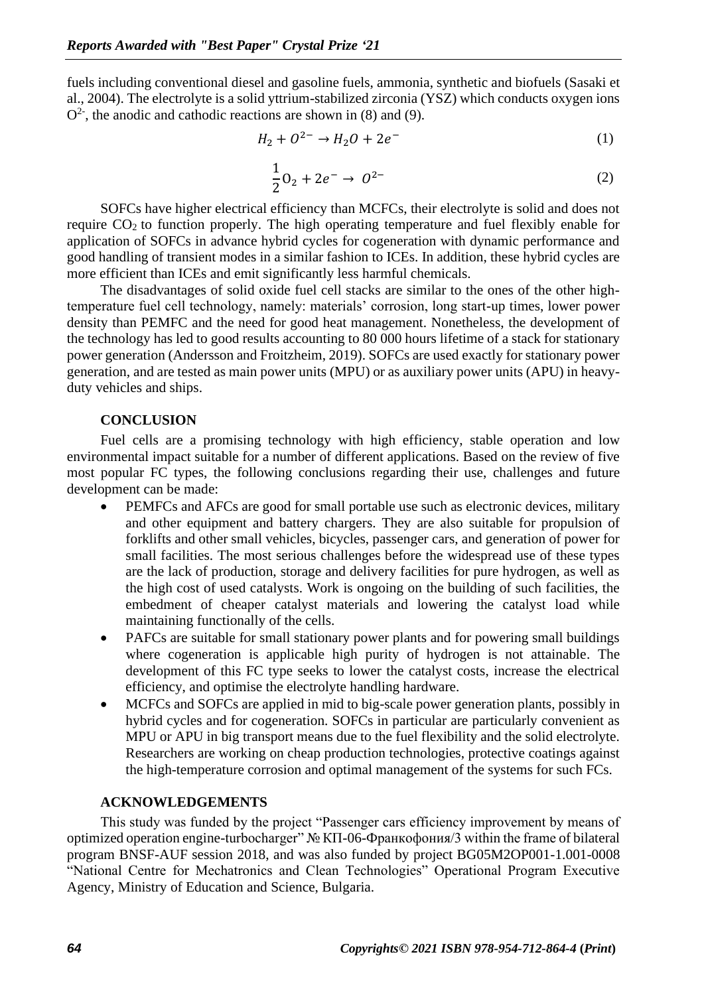fuels including conventional diesel and gasoline fuels, ammonia, synthetic and biofuels (Sasaki et al., 2004). The electrolyte is a solid yttrium-stabilized zirconia (YSZ) which conducts oxygen ions  $O<sup>2</sup>$ , the anodic and cathodic reactions are shown in (8) and (9).

$$
H_2 + O^{2-} \to H_2O + 2e^-
$$
 (1)

$$
\frac{1}{2}0_2 + 2e^- \to 0^{2-}
$$
 (2)

SOFCs have higher electrical efficiency than MCFCs, their electrolyte is solid and does not require CO2 to function properly. The high operating temperature and fuel flexibly enable for application of SOFCs in advance hybrid cycles for cogeneration with dynamic performance and good handling of transient modes in a similar fashion to ICEs. In addition, these hybrid cycles are more efficient than ICEs and emit significantly less harmful chemicals.

The disadvantages of solid oxide fuel cell stacks are similar to the ones of the other hightemperature fuel cell technology, namely: materials' corrosion, long start-up times, lower power density than PEMFC and the need for good heat management. Nonetheless, the development of the technology has led to good results accounting to 80 000 hours lifetime of a stack for stationary power generation (Andersson and Froitzheim, 2019). SOFCs are used exactly for stationary power generation, and are tested as main power units (MPU) or as auxiliary power units (APU) in heavyduty vehicles and ships.

## **CONCLUSION**

Fuel cells are a promising technology with high efficiency, stable operation and low environmental impact suitable for a number of different applications. Based on the review of five most popular FC types, the following conclusions regarding their use, challenges and future development can be made:

- PEMFCs and AFCs are good for small portable use such as electronic devices, military and other equipment and battery chargers. They are also suitable for propulsion of forklifts and other small vehicles, bicycles, passenger cars, and generation of power for small facilities. The most serious challenges before the widespread use of these types are the lack of production, storage and delivery facilities for pure hydrogen, as well as the high cost of used catalysts. Work is ongoing on the building of such facilities, the embedment of cheaper catalyst materials and lowering the catalyst load while maintaining functionally of the cells.
- PAFCs are suitable for small stationary power plants and for powering small buildings where cogeneration is applicable high purity of hydrogen is not attainable. The development of this FC type seeks to lower the catalyst costs, increase the electrical efficiency, and optimise the electrolyte handling hardware.
- MCFCs and SOFCs are applied in mid to big-scale power generation plants, possibly in hybrid cycles and for cogeneration. SOFCs in particular are particularly convenient as MPU or APU in big transport means due to the fuel flexibility and the solid electrolyte. Researchers are working on cheap production technologies, protective coatings against the high-temperature corrosion and optimal management of the systems for such FCs.

## **ACKNOWLEDGEMENTS**

This study was funded by the project "Passenger cars efficiency improvement by means of optimized operation engine-turbocharger" № КП-06-Франкофония/3 within the frame of bilateral program BNSF-AUF session 2018, and was also funded by project BG05M2OP001-1.001-0008 "National Centre for Mechatronics and Clean Technologies" Operational Program Executive Agency, Ministry of Education and Science, Bulgaria.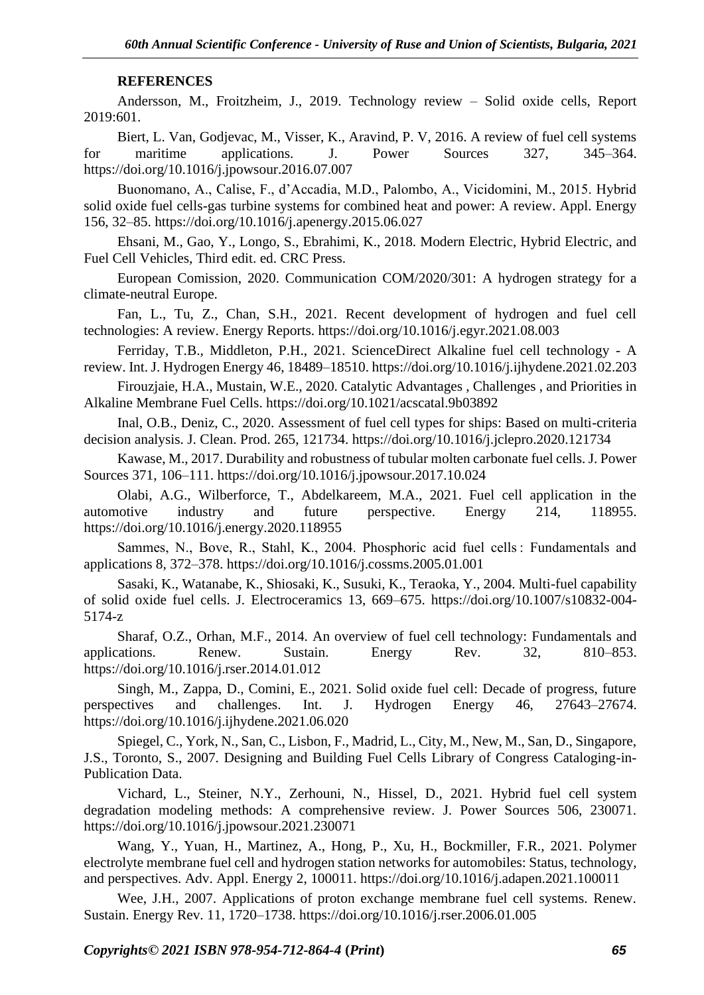## **REFERENCES**

Andersson, M., Froitzheim, J., 2019. Technology review – Solid oxide cells, Report 2019:601.

Biert, L. Van, Godjevac, M., Visser, K., Aravind, P. V, 2016. A review of fuel cell systems for maritime applications. J. Power Sources 327, 345–364. https://doi.org/10.1016/j.jpowsour.2016.07.007

Buonomano, A., Calise, F., d'Accadia, M.D., Palombo, A., Vicidomini, M., 2015. Hybrid solid oxide fuel cells-gas turbine systems for combined heat and power: A review. Appl. Energy 156, 32–85. https://doi.org/10.1016/j.apenergy.2015.06.027

Ehsani, M., Gao, Y., Longo, S., Ebrahimi, K., 2018. Modern Electric, Hybrid Electric, and Fuel Cell Vehicles, Third edit. ed. CRC Press.

European Comission, 2020. Communication COM/2020/301: A hydrogen strategy for a climate-neutral Europe.

Fan, L., Tu, Z., Chan, S.H., 2021. Recent development of hydrogen and fuel cell technologies: A review. Energy Reports. https://doi.org/10.1016/j.egyr.2021.08.003

Ferriday, T.B., Middleton, P.H., 2021. ScienceDirect Alkaline fuel cell technology - A review. Int. J. Hydrogen Energy 46, 18489–18510. https://doi.org/10.1016/j.ijhydene.2021.02.203

Firouzjaie, H.A., Mustain, W.E., 2020. Catalytic Advantages , Challenges , and Priorities in Alkaline Membrane Fuel Cells. https://doi.org/10.1021/acscatal.9b03892

Inal, O.B., Deniz, C., 2020. Assessment of fuel cell types for ships: Based on multi-criteria decision analysis. J. Clean. Prod. 265, 121734. https://doi.org/10.1016/j.jclepro.2020.121734

Kawase, M., 2017. Durability and robustness of tubular molten carbonate fuel cells. J. Power Sources 371, 106–111. https://doi.org/10.1016/j.jpowsour.2017.10.024

Olabi, A.G., Wilberforce, T., Abdelkareem, M.A., 2021. Fuel cell application in the automotive industry and future perspective. Energy 214, 118955. https://doi.org/10.1016/j.energy.2020.118955

Sammes, N., Bove, R., Stahl, K., 2004. Phosphoric acid fuel cells : Fundamentals and applications 8, 372–378. https://doi.org/10.1016/j.cossms.2005.01.001

Sasaki, K., Watanabe, K., Shiosaki, K., Susuki, K., Teraoka, Y., 2004. Multi-fuel capability of solid oxide fuel cells. J. Electroceramics 13, 669–675. https://doi.org/10.1007/s10832-004- 5174-z

Sharaf, O.Z., Orhan, M.F., 2014. An overview of fuel cell technology: Fundamentals and applications. Renew. Sustain. Energy Rev. 32, 810–853. https://doi.org/10.1016/j.rser.2014.01.012

Singh, M., Zappa, D., Comini, E., 2021. Solid oxide fuel cell: Decade of progress, future perspectives and challenges. Int. J. Hydrogen Energy 46, 27643–27674. https://doi.org/10.1016/j.ijhydene.2021.06.020

Spiegel, C., York, N., San, C., Lisbon, F., Madrid, L., City, M., New, M., San, D., Singapore, J.S., Toronto, S., 2007. Designing and Building Fuel Cells Library of Congress Cataloging-in-Publication Data.

Vichard, L., Steiner, N.Y., Zerhouni, N., Hissel, D., 2021. Hybrid fuel cell system degradation modeling methods: A comprehensive review. J. Power Sources 506, 230071. https://doi.org/10.1016/j.jpowsour.2021.230071

Wang, Y., Yuan, H., Martinez, A., Hong, P., Xu, H., Bockmiller, F.R., 2021. Polymer electrolyte membrane fuel cell and hydrogen station networks for automobiles: Status, technology, and perspectives. Adv. Appl. Energy 2, 100011. https://doi.org/10.1016/j.adapen.2021.100011

Wee, J.H., 2007. Applications of proton exchange membrane fuel cell systems. Renew. Sustain. Energy Rev. 11, 1720–1738. https://doi.org/10.1016/j.rser.2006.01.005